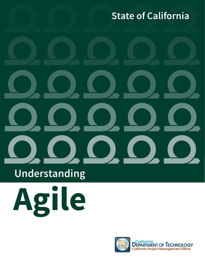## **State of California**

## **Understanding**



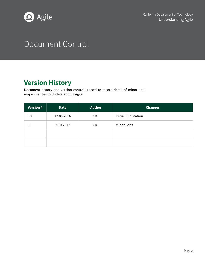

## Document Control

### **Version History**

Document history and version control is used to record detail of minor and major changes to Understanding Agile.

| <b>Version #</b> | <b>Date</b> | <b>Author</b> | <b>Changes</b>             |
|------------------|-------------|---------------|----------------------------|
| 1.0              | 12.05.2016  | <b>CDT</b>    | <b>Initial Publication</b> |
| 1.1              | 3.10.2017   | <b>CDT</b>    | <b>Minor Edits</b>         |
|                  |             |               |                            |
|                  |             |               |                            |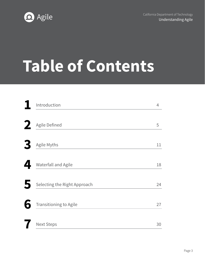



# **Table of Contents**

| Introduction                  | 4  |
|-------------------------------|----|
| Agile Defined                 | 5  |
| Agile Myths                   | 11 |
| Waterfall and Agile           | 18 |
| Selecting the Right Approach  | 24 |
| <b>Transitioning to Agile</b> | 27 |
| <b>Next Steps</b>             | 30 |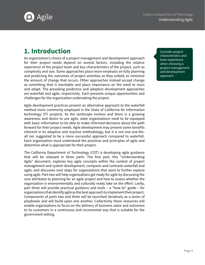<span id="page-3-0"></span>

#### **1. Introduction 1.** Consider project

An organization's choice of a project management and development approach for their project needs depend on several factors, including the relative experience of the project team and key characteristics of the project, such as complexity and size. Some approaches place more emphasis on fully planning and predicting the outcomes of project activities as they unfold, to minimize the amount of change that occurs. Other approaches instead accept change as something that is inevitable and place importance on the need to react and adapt. The prevailing predictive and adaptive development approaches are waterfall and agile, respectively. Each presents unique opportunities and challenges for the organization undertaking the project.

Agile development practices present an alternative approach to the waterfall method more commonly employed in the State of California for information technology (IT) projects. As the landscape evolves and there is a growing awareness and desire to use agile, state organizations need to be equipped with basic information to be able to make informed decisions about the path forward for their project needs. Agile development may present some benefits inherent in its adaptive and reactive methodology, but it is not one-size-fitsall nor suggested to be a more successful approach compared to waterfall. Each organization must understand the practices and principles of agile and determine what is appropriate for their project.

The California Department of Technology (CDT) is developing agile guidance that will be released in three parts. The first part, this "Understanding Agile" document, explores key agile concepts within the context of project management and system development; compares and contrasts waterfall and agile; and discusses next steps for organizations that want to further explore using agile. Part two will help organizations get ready for agile by discussing the core attributes to planning for an agile project and how to assess whether the organization is environmentally and culturally ready take on the effort. Lastly, part three will provide practical guidance and tools – a "how to" guide – for organizations that identify agile as the best approach to implement their project. Components of parts two and three will be launched iteratively as a series of playbooks and will build upon one another. Collectively these resources will enable organizations to focus on the delivery of business value and outcomes to its customers in a continuous and incremental way that is suitable for the government setting.

characteristics and team experience when choosing a project management and development approach.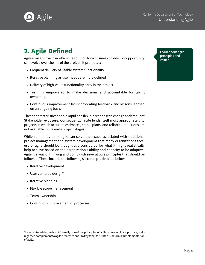<span id="page-4-0"></span>

### **2. Agile Defined Learn about agile**

Agile is an approach in which the solution for a business problem or opportunity can evolve over the life of the project. It promotes:

- Frequent delivery of usable system functionality
- Iterative planning as user needs are more defined
- Delivery of high-value functionality early in the project
- Team is empowered to make decisions and accountable for taking ownership
- Continuous improvement by incorporating feedback and lessons learned on an ongoing basis

These characteristics enable rapid and flexible response to change and frequent Stakeholder exposure. Consequently, agile lends itself most appropriately to projects in which accurate estimates, stable plans, and reliable predictions are not available in the early project stages.

While some may think agile can solve the issues associated with traditional project management and system development that many organizations face, use of agile should be thoughtfully considered for what it might realistically help achieve based on the organization's ability and capacity to be adaptive. Agile is a way of thinking and doing with several core principles that should be followed. These include the following six concepts detailed below:

- Iterative development
- User centered design\*
- Iterative planning
- Flexible scope management
- Team ownership
- Continuous improvement of processes

principles and

<sup>\*</sup>User centered design is not formally one of the principles of agile. However, it is a positive, wellregarded complement to agile processes and is a key tenet for State of California's implementation of agile.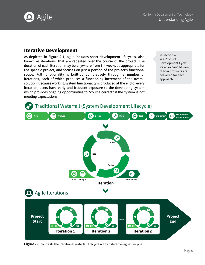

#### **Iterative Development**

As depicted in Figure 2-1, agile includes short development lifecycles, also known as iterations, that are repeated over the course of the project. The duration of each iteration may be anywhere from 1-4 weeks as appropriate for the specific project, and focuses on just a portion of the project's functional scope. Full functionality is built-up cumulatively through a number of iterations, each of which produces a functioning increment of the overall solution. Because working system functionality is produced at the end of every iteration, users have early and frequent exposure to the developing system which provides ongoing opportunities to "course correct" if the system is not meeting expectations.

In Section 4, see Product Development Cycle for an expanded view of how products are delivered for each approach.



**Figure 2-1** contrasts the traditional waterfall lifecycle with an iterative agile lifecycle.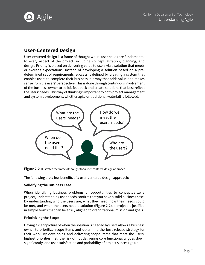

#### **User-Centered Design**

User-centered design is a frame of thought where user needs are fundamental to every aspect of the project, including conceptualization, planning, and design. Priority is placed on delivering value to users via a solution that meets or exceeds expectations. Instead of developing a solution based on a predetermined set of requirements, success is defined by creating a system that enables users to complete their business in a way that adds value and makes sense from the users' perspective. This is done through continuous involvement of the business owner to solicit feedback and create solutions that best reflect the users' needs. This way of thinking is important to both project management and system development, whether agile or traditional waterfall is followed.



**Figure 2-2** illustrates the frame of thought for a user centered design approach.

The following are a few benefits of a user-centered design approach:

#### **Solidifying the Business Case**

When identifying business problems or opportunities to conceptualize a project, understanding user needs confirm that you have a solid business case. By understanding who the users are, what they need, how their needs could be met, and when the users need a solution (Figure 2-2), a project is justified in simple terms that can be easily aligned to organizational mission and goals.

#### **Prioritizing the Scope**

Having a clear picture of when the solution is needed by users allows a business owner to prioritize scope items and determine the best release strategy for their work. By developing and delivering scope items that meet the users' highest priorities first, the risk of not delivering core functionality goes down significantly, and user satisfaction and probability of project success go up.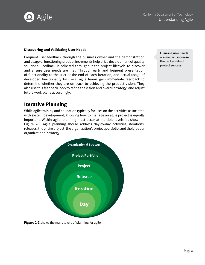

#### **Discovering and Validating User Needs**

Frequent user feedback through the business owner and the demonstration and usage of functioning product increments help drive development of quality solutions. Feedback is solicited throughout the project lifecycle to discover and ensure user needs are met. Through early and frequent presentation of functionality to the user at the end of each iteration, and actual usage of developed functionality by users, agile teams gain immediate feedback to determine whether they are on track to achieving the product vision. They also use this feedback loop to refine the vision and overall strategy, and adjust future work plans accordingly.

Ensuring user needs are met will increase the probability of project success.

#### **Iterative Planning**

While agile training and education typically focuses on the activities associated with system development, knowing how to manage an agile project is equally important. Within agile, planning must occur at multiple levels, as shown in Figure 2-3. Agile planning should address day-to-day activities, iterations, releases, the entire project, the organization's project portfolio, and the broader organizational strategy.



**Figure 2-3** shows the many layers of planning for agile.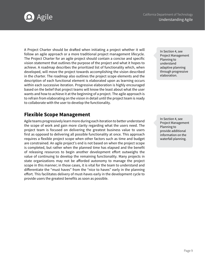**Agile** The California Department of Technology California Department of Technology California Department of Technology



A Project Charter should be drafted when initiating a project whether it will follow an agile approach or a more traditional project management lifecycle. The Project Charter for an agile project should contain a concise and specific vision statement that outlines the purpose of the project and what it hopes to achieve. A roadmap describes the prioritized list of functionality which, when developed, will move the project towards accomplishing the vision described in the charter. The roadmap also outlines the project scope elements and the description of each functional element is elaborated upon as learning occurs within each successive iteration. Progressive elaboration is highly encouraged based on the belief that project teams will know the least about what the user wants and how to achieve it at the beginning of a project. The agile approach is to refrain from elaborating on the vision in detail until the project team is ready to collaborate with the user to develop the functionality.

#### **Flexible Scope Management**

Agile teams progressively learn more during each iteration to better understand the scope of work and gain more clarity regarding what the users need. The project team is focused on delivering the greatest business value to users first as opposed to delivering all possible functionality at once. This approach requires a flexible project scope when other factors such as time and budget are constrained. An agile project's end is not based on when the project scope is completed, but rather when the planned time has elapsed and the benefit of releasing resources to begin another development effort outweighs the value of continuing to develop the remaining functionality. Many projects in state organizations may not be afforded autonomy to manage the project scope in this manner; in those cases, it is vital for the team to understand and differentiate the "must haves" from the "nice to haves" early in the planning effort. This facilitates delivery of must-haves early in the development cycle to provide users the greatest benefits as soon as possible.

In Section 4, see Project Management Planning to understand adaptive planning through progressive elaboration.

In Section 4, see Project Management Planning to provide additional information on the waterfall planning.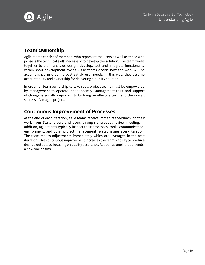

#### **Team Ownership**

Agile teams consist of members who represent the users as well as those who possess the technical skills necessary to develop the solution. The team works together to plan, analyze, design, develop, test and integrate functionality within short development cycles. Agile teams decide how the work will be accomplished in order to best satisfy user needs. In this way, they assume accountability and ownership for delivering a quality solution.

In order for team ownership to take root, project teams must be empowered by management to operate independently. Management trust and support of change is equally important to building an effective team and the overall success of an agile project.

#### **Continuous Improvement of Processes**

At the end of each iteration, agile teams receive immediate feedback on their work from Stakeholders and users through a product review meeting. In addition, agile teams typically inspect their processes, tools, communication, environment, and other project management related issues every iteration. The team makes adjustments immediately which are leveraged in the next iteration. This continuous improvement increases the team's ability to produce desired outputs by focusing on quality assurance. As soon as one iteration ends, a new one begins.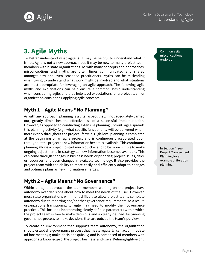<span id="page-10-0"></span>

### **3. Agile Myths**

To better understand what agile is, it may be helpful to understand what it is not. Agile is not a new approach, but it may be new to many project team members within state organizations. As with many concepts and approaches, misconceptions and myths are often times communicated and shared amongst new and even seasoned practitioners. Myths can be misleading when trying to understand what work might be involved and what situations are most appropriate for leveraging an agile approach. The following agile myths and explanations can help ensure a common, basic understanding when considering agile, and thus help level expectations for a project team or organization considering applying agile concepts.

#### **Myth 1 – Agile Means "No Planning"**

As with any approach, planning is a vital aspect that, if not adequately carried out, greatly diminishes the effectiveness of a successful implementation. However, as opposed to conducting extensive planning upfront, agile spreads this planning activity (e.g., what specific functionality will be delivered when) more evenly throughout the project lifecycle. High-level planning is completed at the beginning of an agile project and is continuously elaborated upon throughout the project as new information becomes available. This continuous planning allows a project to start much quicker and to be more nimble to make ongoing adjustments in strategy as new information becomes available. This can come through changes in business needs or priorities; project issues, risks, or resources; and even changes in available technology. It also provides the project team with the ability to more easily and efficiently adapt to changes and optimize plans as new information emerges.

#### **Myth 2 – Agile Means "No Governance"**

Within an agile approach, the team members working on the project have autonomy over decisions about how to meet the needs of the user. However, most state organizations will find it difficult to allow project teams complete autonomy due to reporting and/or other governance requirements. As a result, organizations transitioning to agile may need to modify their governance practices. This includes incorporating clearly defined parameters within which the project team is free to make decisions and a clearly defined, fast-moving governance process to make decisions that are outside the team's purview.

To create an environment that supports team autonomy, the organization should establish a governance process that meets regularly; can accommodate ad hoc meetings; make decisions quickly; and is comprised of members with appropriate knowledge of the project, business, and users. Defining lightweight,

Common agile misconceptions explored.

In Section 4, see Project Management Planning for an example of iteration planning.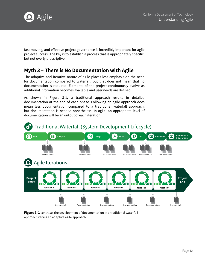

fast moving, and effective project governance is incredibly important for agile project success. The key is to establish a process that is appropriately specific, but not overly prescriptive.

#### **Myth 3 – There is No Documentation with Agile**

The adaptive and iterative nature of agile places less emphasis on the need for documentation compared to waterfall, but that does not mean that no documentation is required. Elements of the project continuously evolve as additional information becomes available and user needs are defined.

As shown in Figure 3-1, a traditional approach results in detailed documentation at the end of each phase. Following an agile approach does mean less documentation compared to a traditional waterfall approach, but documentation is needed nonetheless. In agile, an appropriate level of documentation will be an output of each iteration.



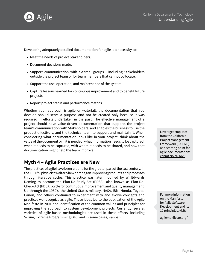

Developing adequately detailed documentation for agile is a necessity to:

- Meet the needs of project Stakeholders.
- Document decisions made.
- Support communication with external groups including Stakeholders outside the project team or for team members that cannot collocate.
- Support the use, operation, and maintenance of the system.
- Capture lessons learned for continuous improvement and to benefit future projects.
- Report project status and performance metrics.

Whether your approach is agile or waterfall, the documentation that you develop should serve a purpose and not be created only because it was required in efforts undertaken in the past. The effective management of a project should have value-driven documentation that supports the project team's communication with Stakeholders, and enables the business to use the product effectively, and the technical team to support and maintain it. When considering what documentation looks like in your project, think about the value of the document or if it is needed, what information needs to be captured, when it needs to be captured, with whom it needs to be shared, and how that documentation might help the team improve.

#### **Myth 4 – Agile Practices are New**

The practices of agile have been around for the greater part of the last century. In the 1930's, physicist Walter Shewhart began improving products and processes through iterative cycles. This practice was later modified by W. Edwards Deming to become the Plan-Do-Study-Act (PDSA), also known as Plan-Do-Check-Act (PDCA), cycle for continuous improvement and quality management. Up through the 1980's, the United States military, NASA, IBM, Honda, Toyota, Canon, and others continued to experiment with and evolve concepts and practices we recognize as agile. These ideas led to the publication of the Agile Manifesto in 2001 and identification of the common values and principles for improving the approach to system development projects. Currently, several varieties of agile-based methodologies are used in these efforts, including Scrum, Extreme Programming (XP), and in some cases, Kanban.

Leverage templates from the California Project Management Framework (CA-PMF) as a starting point for agile documentation: [capmf.cio.ca.gov/](http://www.capmf.cio.ca.gov/) 

For more information on the Manifesto for Agile Software Development and its 12 principles, visit:

[agilemanifesto.org/](http://www.agilemanifesto.org/)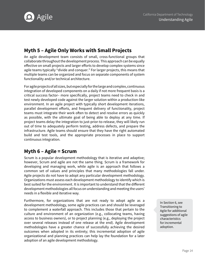

#### **Myth 5 – Agile Only Works with Small Projects**

An agile development team consists of small, cross-functional groups that collaborate throughout the development process. This approach can be equally effective on small projects and larger efforts to develop complex systems since agile teams typically "divide and conquer." For larger projects, this means that multiple teams can be organized and focus on separate components of system functionality and/or technical architecture.

For agile projects of all sizes, but especially for the large and complex, continuous integration of developed components on a daily if not more frequent basis is a critical success factor– more specifically, project teams need to check in and test newly developed code against the larger solution within a production-like environment. In an agile project with typically short development iterations, parallel development efforts, and frequent delivery of functionality, project teams must integrate their work often to detect and resolve errors as quickly as possible, with the ultimate goal of being able to deploy at any time. If project teams delay the integration to just-prior-to-release, they will likely run out of time to adequately perform testing, address defects, and prepare the infrastructure. Agile teams should ensure that they have the right automated build and test tools, and the appropriate processes in place to support continuous integration.

#### **Myth 6 – Agile = Scrum**

Scrum is a popular development methodology that is iterative and adaptive; however, Scrum and agile are not the same thing. Scrum is a framework for developing and managing work, while agile is an approach that follows a common set of values and principles that many methodologies fall under. Agile projects do not have to adopt any particular development methodology. Organizations must assess each development methodology to identify which is best suited for the environment. It is important to understand that the different development methodologies all focus on understanding and meeting the users' needs in a flexible and iterative way.

Furthermore, for organizations that are not ready to adopt agile as a development methodology, some agile practices can and should be leveraged to complement a waterfall approach. This includes those that pertain to the culture and environment of an organization (e.g., collocating teams, having access to business owners), or to project planning (e.g., deploying the project over several releases instead of one release at the end). Agile development methodologies have a greater chance of successfully achieving the desired outcomes when adopted in its entirety; this incremental adoption of agile organizational and planning practices can help lay the foundation for a later adoption of an agile development methodology.

In Section 6, see Transitioning to Agile for additional suggestions of agile characteristics for incremental adoption.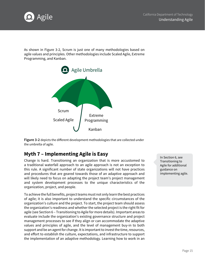

As shown in Figure 3-2, Scrum is just one of many methodologies based on agile values and principles. Other methodologies include Scaled Agile, Extreme Programming, and Kanban.



**Figure 3-2** depicts the different development methodologies that are collected under the umbrella of agile.

#### **Myth 7 – Implementing Agile is Easy**

Change is hard. Transitioning an organization that is more accustomed to a traditional waterfall approach to an agile approach is not an exception to this rule. A significant number of state organizations will not have practices and procedures that are geared towards those of an adaptive approach and will likely need to focus on adapting the project team's project management and system development processes to the unique characteristics of the organization, project, and people.

To achieve the full benefits, project teams must not only learn the best practices of agile; it is also important to understand the specific circumstances of the organization's culture and the project. To start, the project team should assess the organization's readiness and whether the selected project is the right fit for agile (see Section 6 – Transitioning to Agile for more details). Important areas to evaluate include the organization's existing governance structure and project management processes to see if they align or can accommodate the adaptive values and principles of agile, and the level of management buy-in to both support and be an agent for change. It is important to invest the time, resources, and effort to establish the culture, expectations, and infrastructure to support the implementation of an adaptive methodology. Learning how to work in an

In Section 6, see Transitioning to Agile for additional guidance on implementing agile.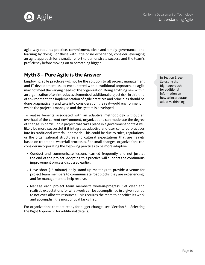

agile way requires practice, commitment, clear and timely governance, and learning by doing. For those with little or no experience, consider leveraging an agile approach for a smaller effort to demonstrate success and the team's proficiency before moving on to something bigger.

#### **Myth 8 – Pure Agile is the Answer**

Employing agile practices will not be the solution to all project management and IT development issues encountered with a traditional approach, as agile may not meet the varying needs of the organization. Doing anything new within an organization often introduces elements of additional project risk. In this kind of environment, the implementation of agile practices and principles should be done pragmatically and take into consideration the real-world environment in which the project is managed and the system is developed.

To realize benefits associated with an adaptive methodology without an overhaul of the current environment, organizations can moderate the degree of change. In particular, a project that takes place in a government context will likely be more successful if it integrates adaptive and user centered practices into its traditional waterfall approach. This could be due to rules, regulations, or the organizational structures and cultural expectations that are heavily based on traditional waterfall processes. For small changes, organizations can consider incorporating the following practices to be more adaptive:

- Conduct and communicate lessons learned frequently and not just at the end of the project. Adopting this practice will support the continuous improvement process discussed earlier.
- Have short (15 minute) daily stand-up meetings to provide a venue for project team members to communicate roadblocks they are experiencing, and for management to help resolve.
- Manage each project team member's work-in-progress. Set clear and realistic expectations for what work can be accomplished in a given period to not over-allocate resources. This requires the team to prioritize its work and accomplish the most critical tasks first.

For organizations that are ready for bigger change, see "Section 5 – Selecting the Right Approach" for additional details.

In Section 5, see Selecting the Right Approach for additional information on how to incorporate adaptive thinking.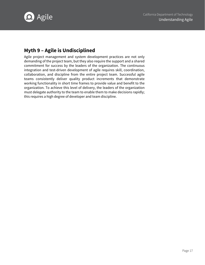

#### **Myth 9 – Agile is Undisciplined**

Agile project management and system development practices are not only demanding of the project team, but they also require the support and a shared commitment for success by the leaders of the organization. The continuous integration and test-driven development of agile requires skill, coordination, collaboration, and discipline from the entire project team. Successful agile teams consistently deliver quality product increments that demonstrate working functionality in short time frames to provide value and benefit to the organization. To achieve this level of delivery, the leaders of the organization must delegate authority to the team to enable them to make decisions rapidly; this requires a high degree of developer and team discipline.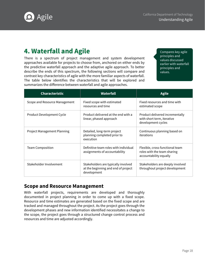<span id="page-17-0"></span>

#### **4. Waterfall and Agile**

There is a spectrum of project management and system development approaches available for projects to choose from, anchored on either ends by the predictive waterfall approach and the adaptive agile approach. To better describe the ends of this spectrum, the following sections will compare and contrast key characteristics of agile with the more familiar aspects of waterfall. The table below identifies the characteristics that will be explored and summarizes the difference between waterfall and agile approaches.

Compares key agile principles and values discussed earlier with waterfall principles and values.

| <b>Characteristic</b>         | Waterfall                                                                                 | <b>Agile</b>                                                                             |
|-------------------------------|-------------------------------------------------------------------------------------------|------------------------------------------------------------------------------------------|
| Scope and Resource Management | Fixed scope with estimated<br>resources and time                                          | Fixed resources and time with<br>estimated scope                                         |
| Product Development Cycle     | Product delivered at the end with a<br>linear, phased approach                            | Product delivered incrementally<br>with short term, iterative<br>development cycles      |
| Project Management Planning   | Detailed, long-term project<br>planning completed prior to<br>execution                   | Continuous planning based on<br>iterations                                               |
| <b>Team Composition</b>       | Definitive team roles with individual<br>assignments of accountability                    | Flexible, cross-functional team<br>roles with the team sharing<br>accountability equally |
| Stakeholder Involvement       | Stakeholders are typically involved<br>at the beginning and end of project<br>development | Stakeholders are deeply involved<br>throughout project development                       |

#### **Scope and Resource Management**

With waterfall projects, requirements are developed and thoroughly documented in project planning in order to come up with a fixed scope. Resource and time estimates are generated based on the fixed scope and are tracked and managed throughout the project. As the project goes through the development phases and new information identified necessitates a change to the scope, the project goes through a structured change control process and resources and time are adjusted accordingly.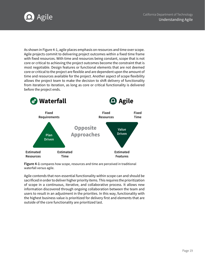

As shown in Figure 4-1, agile places emphasis on resources and time over scope. Agile projects commit to delivering project outcomes within a fixed time frame with fixed resources. With time and resources being constant, scope that is not core or critical to achieving the project outcomes become the constraint that is most negotiable. Design features or functional elements that are not deemed core or critical to the project are flexible and are dependent upon the amount of time and resources available for the project. Another aspect of scope flexibility allows the project team to make the decision to shift delivery of functionality from iteration to iteration, as long as core or critical functionality is delivered before the project ends.



**Figure 4-1** compares how scope, resources and time are perceived in traditional waterfall versus agile.

Agile contends that non-essential functionality within scope can and should be sacrificed in order to deliver higher priority items. This requires the prioritization of scope in a continuous, iterative, and collaborative process. It allows new information discovered through ongoing collaboration between the team and users to result in an adjustment in the priorities. In this way, functionality with the highest business value is prioritized for delivery first and elements that are outside of the core functionality are prioritized last.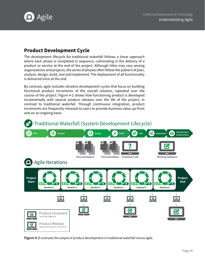

#### **Product Development Cycle**

The development lifecycle for traditional waterfall follows a linear approach where each phase is completed in sequence, culminating in the delivery of a product or service at the end of the project. Although titles may vary among organizations and projects, the series of phases often follow the pattern of plan, analyze, design, build, test and implement. The deployment of all functionality is delivered once at the end.

By contrast, agile includes iterative development cycles that focus on building functional product increments of the overall solution, repeated over the course of the project. Figure 4-2 shows how functioning product is developed incrementally with several product releases over the life of the project, in contrast to traditional waterfall. Through continuous integration, product increments are frequently released to users to provide business value up-front and on an ongoing basis.



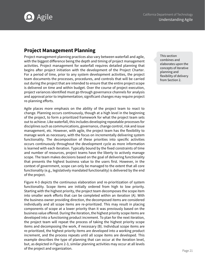

#### **Project Management Planning**

Project management planning practices also vary between waterfall and agile, with the biggest difference being the depth and timing of project management activities. Project management for waterfall requires detailed planning that begins after project initiation with the development of the Project Charter. For a period of time, prior to any system development activities, the project team documents the processes, procedures, and controls that will be carried out during the project that are intended to ensure that the entire project scope is delivered on time and within budget. Over the course of project execution, project variances identified must go through governance channels for analysis and approval prior to implementation; significant changes may require project re-planning efforts.

Agile places more emphasis on the ability of the project team to react to change. Planning occurs continuously, though at a high level in the beginning of the project, to form a prioritized framework for what the project team sets out to achieve. Like waterfall, this includes developing repeatable processes for disciplines such as communications, governance, change control, risk and issue management, etc. However, with agile, the project team has the flexibility to manage work as necessary, with the focus on incrementally delivering system functionality. The decomposition of these priorities into specific activities occurs continuously throughout the development cycle as more information is learned with each iteration. Typically bound by the fixed constraints of time and number of resources, project teams have the liberty to actively manage scope. The team makes decisions based on the goal of delivering functionality that presents the highest business value to the users first. However, in the context of government, scope can only be managed to the extent that all core functionality (e.g., legislatively mandated functionality) is delivered by the end of the project.

Figure 4-3 depicts the continuous elaboration and re-prioritization of system functionality. Scope items are initially ordered from high to low priority. Starting with the highest priority, the project team decomposes the scope item into smaller work efforts that can be completed within an iteration (A). With the business owner providing direction, the decomposed items are considered individually and all scope items are re-prioritized. This may result in placing components of scope at a lower priority than it was previously based on the business value offered. During the iteration, the highest priority scope items are developed into a functioning product increment. To plan for the next iteration, the project team will repeat the process of taking the highest priority scope items and decomposing the work, if necessary (B). Individual scope items are re-prioritized, the highest priority items are developed into a working product increment, and the process repeats until all scope items are developed. This example describes the type of planning that can occur at the iteration level, but, as depicted in Figure 2-3, similar planning activities may occur at all levels of the project and organization. The project and organization.

This section combines and elaborates upon the concepts of iterative planning and flexibility of delivery from Section 2.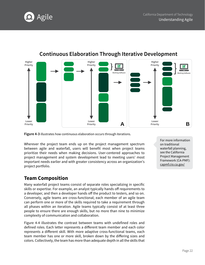



#### **Continuous Elaboration Through Iterative Development**

**Figure 4-3** illustrates how continuous elaboration occurs through iterations.

Wherever the project team ends up on the project management spectrum between agile and waterfall, users will benefit most when project teams prioritize their needs when making decisions. User-centered approaches to project management and system development lead to meeting users' most important needs earlier and with greater consistency across an organization's project portfolio.

#### **Team Composition**

Many waterfall project teams consist of separate roles specializing in specific skills or expertise. For example, an analyst typically hands off requirements to a developer, and then a developer hands off the product to testers, and so on. Conversely, agile teams are cross-functional; each member of an agile team can perform one or more of the skills required to take a requirement through all phases within an iteration. Agile teams typically consist of at least three people to ensure there are enough skills, but no more than nine to minimize complexity of communication and collaboration.

Figure 4-4 illustrates the contrast between teams with undefined roles and defined roles. Each letter represents a different team member and each color represents a different skill. With more adaptive cross-functional teams, each team member has one or more skill, broken down by the differing sizes and colors. Collectively, the team has more than adequate depth in all the skills that

For more information on traditional waterfall planning, see the California Project Management Framework (CA-PMF): [capmf.cio.ca.gov/](http://www.capmf.cio.ca.gov/)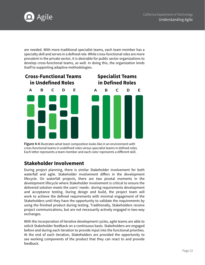

are needed. With more traditional specialist teams, each team member has a specialty skill and serves in a defined role. While cross-functional roles are more prevalent in the private sector, it is desirable for public sector organizations to develop cross-functional teams, as well. In doing this, the organization lends itself to supporting adaptive methodologies.



**Figure 4-4** illustrates what team composition looks like in an environment with cross-functional teams in undefined roles versus specialist teams in defined roles. Each letter represents a team member and each color represents a different skill.

#### **Stakeholder Involvement**

During project planning, there is similar Stakeholder involvement for both waterfall and agile. Stakeholder involvement differs in the development lifecycle. On waterfall projects, there are two pivotal moments in the development lifecycle where Stakeholder involvement is critical to ensure the delivered solution meets the users' needs– during requirements development and acceptance testing. During design and build, the project team will work to achieve the defined requirements with minimal engagement of the Stakeholders until they have the opportunity to validate the requirements by using the finished product during testing. Traditionally, Stakeholders receive project communications, but are not necessarily actively engaged in two-way exchanges.

With the incorporation of iterative development cycles, agile teams are able to solicit Stakeholder feedback on a continuous basis. Stakeholders are engaged before and during each iteration to provide input into the functional priorities. At the end of each iteration, Stakeholders are provided the opportunity to see working components of the product that they can react to and provide feedback.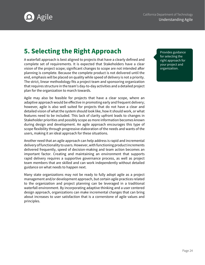<span id="page-23-0"></span>

#### **5. Selecting the Right Approach**

A waterfall approach is best aligned to projects that have a clearly defined and complete set of requirements. It is expected that Stakeholders have a clear vision of the project scope; significant changes to scope are not intended after planning is complete. Because the complete product is not delivered until the end, emphasis will be placed on quality while speed of delivery is not a priority. The strict, linear methodology fits a project team and sponsoring organization that requires structure in the team's day-to-day activities and a detailed project plan for the organization to march towards.

Agile may also be feasible for projects that have a clear scope, where an adaptive approach would be effective in promoting early and frequent delivery; however, agile is also well suited for projects that do not have a clear and detailed vision of what the system should look like, how it should work, or what features need to be included. This lack of clarity upfront leads to changes in Stakeholder priorities and possibly scope as more information becomes known during design and development. An agile approach encourages this type of scope flexibility through progressive elaboration of the needs and wants of the users, making it an ideal approach for these situations.

Another need that an agile approach can help address is rapid and incremental delivery of functionality to users. However, with functioning product increments delivered frequently, speed of decision-making and team action becomes an important factor. Creating and maintaining an environment that supports rapid delivery requires a supportive governance process, as well as project team members that are skilled and can work independently without detailed guidance on what needs to happen next.

Many state organizations may not be ready to fully adopt agile as a project management and/or development approach, but certain agile practices related to the organization and project planning can be leveraged in a traditional waterfall environment. By incorporating adaptive thinking and a user centered design approach, organizations can make incremental changes that can bring about increases to user satisfaction that is a cornerstone of agile values and principles.

Provides guidance for selecting the right approach for your project and organization.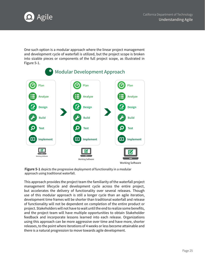

One such option is a modular approach where the linear project management and development cycle of waterfall is utilized, but the project scope is broken into sizable pieces or components of the full project scope, as illustrated in Figure 5-1.



**Figure 5-1** depicts the progressive deployment of functionality in a modular approach using traditional waterfall.

This approach provides the project team the familiarity of the waterfall project management lifecycle and development cycle across the entire project, but accelerates the delivery of functionality over several releases. Though use of this modular approach is still a longer cycle than an agile iteration, development time frames will be shorter than traditional waterfall and release of functionality will not be dependent on completion of the entire product or project. Stakeholders will not have to wait until the end to realize some benefits, and the project team will have multiple opportunities to obtain Stakeholder feedback and incorporate lessons learned into each release. Organizations using this approach can be more aggressive over time and have more, shorter releases, to the point where iterations of 4 weeks or less become attainable and there is a natural progression to move towards agile development.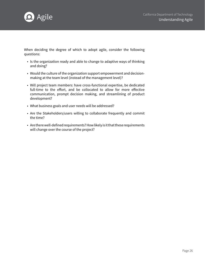

When deciding the degree of which to adopt agile, consider the following questions:

- Is the organization ready and able to change to adaptive ways of thinking and doing?
- Would the culture of the organization support empowerment and decisionmaking at the team level (instead of the management level)?
- Will project team members: have cross-functional expertise, be dedicated full-time to the effort, and be collocated to allow for more effective communication, prompt decision making, and streamlining of product development?
- What business goals and user needs will be addressed?
- Are the Stakeholders/users willing to collaborate frequently and commit the time?
- Are there well-defined requirements? How likely is it that these requirements will change over the course of the project?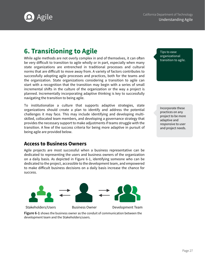<span id="page-26-0"></span>

#### **6. Transitioning to Agile**

While agile methods are not overly complex in and of themselves, it can often be very difficult to transition to agile wholly or in part, especially when many state organizations are entrenched in traditional processes and cultural norms that are difficult to move away from. A variety of factors contributes to successfully adopting agile processes and practices, both for the teams and the organization. State organizations considering a transition to agile can start with a recognition that the transition may begin with a series of small incremental shifts in the culture of the organization or the way a project is planned. Incrementally incorporating adaptive thinking is key to successfully navigating the transition to being agile.

To institutionalize a culture that supports adaptive strategies, state organizations should create a plan to identify and address the potential challenges it may face. This may include identifying and developing multiskilled, collocated team members, and developing a governance strategy that provides the necessary support to make adjustments if teams struggle with the transition. A few of the success criteria for being more adaptive in pursuit of being agile are provided below.

Tips to ease organizational transition to agile.

Incorporate these practices on any project to be more adaptive and responsive to user and project needs.

#### **Access to Business Owners**

Agile projects are most successful when a business representative can be dedicated to representing the users and business owners of the organization on a daily basis. As depicted in Figure 6-1, identifying someone who can be dedicated to the project, accessible to the development team, and empowered to make difficult business decisions on a daily basis increase the chance for success.



**Figure 6-1** shows the business owner as the conduit of communication between the development team and the Stakeholders/users.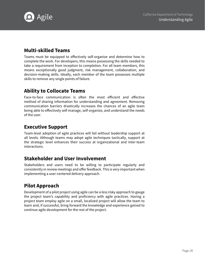

#### **Multi-skilled Teams**

Teams must be equipped to effectively self-organize and determine how to complete the work. For developers, this means possessing the skills needed to take a requirement from inception to completion. For all team members, this means exceptionally good judgment, risk management, collaboration, and decision-making skills. Ideally, each member of the team possesses multiple skills to remove any single points of failure.

#### **Ability to Collocate Teams**

Face-to-face communication is often the most efficient and effective method of sharing information for understanding and agreement. Removing communication barriers drastically increases the chances of an agile team being able to effectively self-manage, self-organize, and understand the needs of the user.

#### **Executive Support**

Team-level adoption of agile practices will fail without leadership support at all levels. Although teams may adopt agile techniques tactically, support at the strategic level enhances their success at organizational and inter-team interactions.

#### **Stakeholder and User Involvement**

Stakeholders and users need to be willing to participate regularly and consistently in review meetings and offer feedback. This is very important when implementing a user-centered delivery approach.

#### **Pilot Approach**

Development of a pilot project using agile can be a less risky approach to gauge the project team's capability and proficiency with agile practices. Having a project team employ agile on a small, localized project will allow the team to learn and, if successful, bring forward the knowledge and experience gained to continue agile development for the rest of the project.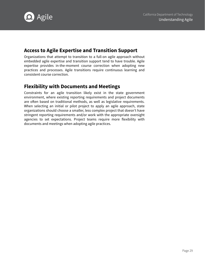

#### **Access to Agile Expertise and Transition Support**

Organizations that attempt to transition to a full-on agile approach without embedded agile expertise and transition support tend to have trouble. Agile expertise provides in-the-moment course correction when adopting new practices and processes. Agile transitions require continuous learning and consistent course correction.

#### **Flexibility with Documents and Meetings**

Constraints for an agile transition likely exist in the state government environment, where existing reporting requirements and project documents are often based on traditional methods, as well as legislative requirements. When selecting an initial or pilot project to apply an agile approach, state organizations should choose a smaller, less complex project that doesn't have stringent reporting requirements and/or work with the appropriate oversight agencies to set expectations. Project teams require more flexibility with documents and meetings when adopting agile practices.